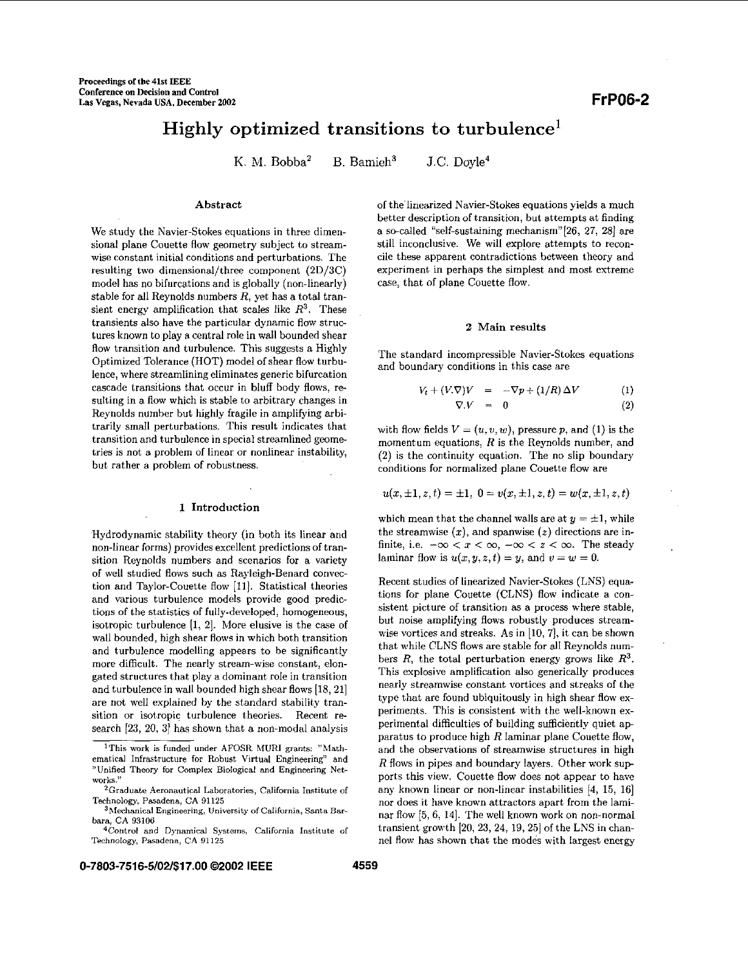# Highly optimized transitions to turbulence<sup>1</sup>

K. M. Bobba<sup>2</sup> B. Bamieh<sup>3</sup> J.C. Doyle<sup>4</sup>

#### Abstract

We study the Navier-Stokes equations in three dimensional plane Couette flow geometry subject to streamwise constant initial conditions and perturbations. The resulting two dimensional/three component (2D/3C) model has no bifurcations and is globally (non-linearly) stable for all Reynolds numbers  $R$ , yet has a total transient energy amplification that scales like  $R^3$ . These transients also have the particular dynamic flow structures known to play a central role in wall bounded shear flow transition and turbulence. This suggests a Highly Optimized Tolerance (HOT) model of shear flow turbulence, where streamlining eliminates generic bifurcation cascade transitions that occur in bluff body flows, resulting in a flow which is stable to arbitrary changes in Reynolds number but highly fragile in amplifying arbitrarily small perturbations. This result indicates that transition and turbulence in special streamlined geometries is not a problem of linear or nonlinear instability, but rather a problem of robustness.

### 1 Introduction

Hydrodynamic stability theory (in both its linear and non-linear forms) provides excellent predictions of transition Reynolds numbers and scenarios for a variety of well studied flows such as Rayleigh-Benard convection and Taylor-Couette flow [ll]. Statistical theories and various turbulence models provide good predictions of the statistics of fully-developed, homogeneous, isotropic turbulence  $[1, 2]$ . More elusive is the case of wall bounded, high shear flows in which both transition and turbulence modelling appears to be significantly more difficult. The nearly stream-wise constant, elongated structures that play a dominant role in transition and turbulence in wall bounded high shear flows [18, 21] are not well explained by the standard stability transition or isotropic turbulence theories. Recent research  $[23, 20, 3]$  has shown that a non-modal analysis of the linearized Navier-Stokes equations yields a much better description of transition, but attempts at finding a so-called "self-sustaining mechanism" [26, 27, 28] are still inconclusive. We will explore attempts to reconcile these apparent contradictions between theory and experiment in perhaps the simplest and most extreme case, that of plane Couette flow.

# 2 Main results

The standard incompressible Navier-Stokes equations and boundary conditions in this case are

$$
V_t + (V.\nabla)V = -\nabla p + (1/R)\,\Delta V \tag{1}
$$

$$
\nabla.V = 0 \tag{2}
$$

with flow fields  $V = (u, v, w)$ , pressure p, and (1) is the momentum equations. R is the Reynolds number, and (2) is the continuity equation. The no slip boundary conditions for normalized plane Couette flow are

$$
u(x, \pm 1, z, t) = \pm 1, 0 = v(x, \pm 1, z, t) = w(x, \pm 1, z, t)
$$

which mean that the channel walls are at  $y = \pm 1$ , while the streamwise  $(x)$ , and spanwise  $(z)$  directions are infinite, i.e.  $-\infty < x < \infty$ ,  $-\infty < z < \infty$ . The steady laminar flow is  $u(x, y, z, t) = y$ , and  $v = w = 0$ .

Recent studies of linearized Navier-Stokes (LNS) equations for plane Couette (CLNS) flow indicate a consistent picture of transition as a process where stable, but noise amplifying flows robustly produces streamwise vortices and streaks. As in  $[10, 7]$ , it can be shown that while CLNS flows are stable for all Reynolds numbers R, the total perturbation energy grows like  $R^3$ . This explosive amplification also generically produces nearly streamwise constant vortices and streaks of the type that are found ubiquitously in high shear flow experiments. This is consistent with the well-known experimental difficulties of building sufficiently quiet apparatus to produce high *R* laminar plane Couette flow, and the observations of streamwise structures in high R flows in pipes and boundary layers. Other work supports this view. Couette flow does not appear to have any known linear or non-linear instabilities  $[4, 15, 16]$ nor does it have known attractors apart from the laminar flow [5, 6, 14]. The well known work on non-normal transient growth [20, 23, 24, 19, 25] of the LNS in channel flow has shown that the modes with largest energy

<sup>&</sup>lt;sup>1</sup>This work is funded under AFOSR MURI grants: "Mathematical Infrastructure for Robust Virtual Engineering" and "Unified Theory for Complex Biological and Engineering Networks." 2Graduate Aeronautical Laboratories, California Institute of

Technology, Pasadena, CA 91125

 $3$ Mechanical Engineering, University of California, Santa Barbara, CA 93106

<sup>4</sup>Control and Dynamical Systems, California Institute of Technology, Pasadena, CA 91125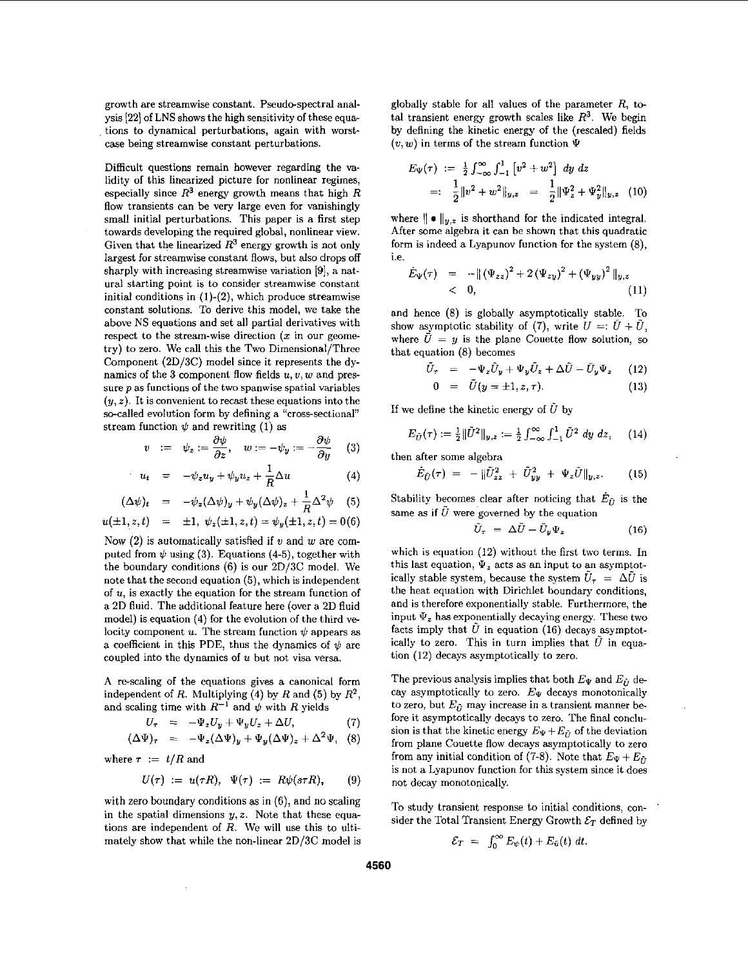growth are streamwise constant. Pseudo-spectral analysis [22] of LNS shows the high sensitivity of these equa- . tions to dynamical perturbations, again with worstcase being streamwise constant perturbations.

Difficult questions remain however regarding the validity of this linearized picture for nonlinear regimes, especially since  $R^3$  energy growth means that high  $R$ flow transients can be very large even for vanishingly small initial perturbations. This paper is a first step towards developing the required global, nonlinear view. Given that the linearized  $R^3$  energy growth is not only largest for streamwise constant flows, but also drops off sharply with increasing streamwise variation [9], a natural starting point is to consider streamwise constant initial conditions in  $(1)-(2)$ , which produce streamwise constant solutions. To derive this model, we take the above NS equations and set all partial derivatives with respect to the stream-wise direction  $(x$  in our geometry) to zero. We call this the Two Dimensional/Three Component (2D/3C) model since it represents the dynamics of the 3 component flow fields *u, v, w* and pressure  $p$  as functions of the two spanwise spatial variables  $(y, z)$ . It is convenient to recast these equations into the so-called evolution form by defining a "cross-sectional" stream function  $\psi$  and rewriting (1) as

$$
v := \psi_z := \frac{\partial \psi}{\partial z}, \quad w := -\psi_y := -\frac{\partial \psi}{\partial y} \quad (3)
$$

$$
u_t = -\psi_z u_y + \psi_y u_z + \frac{1}{R} \Delta u \tag{4}
$$

$$
(\Delta \psi)_t = -\psi_z(\Delta \psi)_y + \psi_y(\Delta \psi)_z + \frac{1}{R} \Delta^2 \psi \quad (5)
$$

$$
u(\pm 1, z, t) = \pm 1, \ \psi_z(\pm 1, z, t) = \psi_y(\pm 1, z, t) = 0(6)
$$

Now {2) is automatically satisfied if *v* and w are computed from  $\psi$  using (3). Equations (4-5), together with the boundary conditions (6) is our 2D/3C model. We note that the second equation (5), which is independent of *u,* is exactly the equation for the stream function of a 2D fluid. The additional feature here (over a 2D fluid model) is equation (4) for the evolution of the third velocity component  $u$ . The stream function  $\psi$  appears as a coefficient in this PDE, thus the dynamics of  $\psi$  are coupled into the dynamics of  $u$  but not visa versa.

A re-scaling of the equations gives a canonical form independent of *R*. Multiplying (4) by *R* and (5) by  $R^2$ , and scaling time with  $R^{-1}$  and  $\psi$  with *R* yields

$$
U_r = -\Psi_z U_y + \Psi_y U_z + \Delta U, \qquad (7)
$$

$$
(\Delta\Psi)_\tau = -\Psi_z(\Delta\Psi)_y + \Psi_y(\Delta\Psi)_z + \Delta^2\Psi, \quad (8)
$$

where  $\tau := t/R$  and

$$
U(\tau) := u(\tau R), \quad \Psi(\tau) := R\psi(s\tau R), \qquad (9)
$$

with zero boundary conditions as in (6), and no scaling in the spatial dimensions *y, z.* Note that these equations are independent of  $R$ . We will use this to ultimately show that while the non-linear 2D/3C model is

globally stable for all values of the parameter  $R$ , total transient energy growth scales like  $R<sup>3</sup>$ . We begin by defining the kinetic energy of the (rescaled) fields  $(v, w)$  in terms of the stream function  $\Psi$ 

$$
E_{\Psi}(\tau) := \frac{1}{2} \int_{-\infty}^{\infty} \int_{-1}^{1} \left[ v^2 + w^2 \right] dy dz
$$
  
=: 
$$
\frac{1}{2} \| v^2 + w^2 \|_{y,z} = \frac{1}{2} \| \Psi_z^2 + \Psi_y^2 \|_{y,z}
$$
 (10)

where  $|| \bullet ||_{y,z}$  is shorthand for the indicated integral. After some algebra it can be shown that this quadratic form is indeed a Lyapunov function for the system (8), i.e.

$$
\dot{E}_{\Psi}(\tau) = -\|(\Psi_{zz})^2 + 2(\Psi_{zy})^2 + (\Psi_{yy})^2\|_{y,z} < 0, \qquad (11)
$$

and hence (8) is globally asymptotically stable. To show asymptotic stability of (7), write  $U =: \bar{U} + \tilde{U}$ , where  $\bar{U} = y$  is the plane Couette flow solution, so that equation (8) becomes

$$
\tilde{U}_{\tau} = -\Psi_{z}\tilde{U}_{y} + \Psi_{y}\tilde{U}_{z} + \Delta\tilde{U} - \tilde{U}_{y}\Psi_{z} \qquad (12)
$$

$$
0 = \tilde{U}(y = \pm 1, z, \tau). \tag{13}
$$

If we define the kinetic energy of  $\tilde{U}$  by

$$
E_{\tilde{U}}(\tau) := \frac{1}{2} \|\tilde{U}^2\|_{y,z} := \frac{1}{2} \int_{-\infty}^{\infty} \int_{-1}^{1} \tilde{U}^2 \ dy \ dz, \qquad (14)
$$

then after some algebra

$$
\dot{E}_{\tilde{U}}(\tau) = - \|\tilde{U}_{zz}^2 + \bar{U}_{yy}^2 + \Psi_z \tilde{U}\|_{y,z}.
$$
 (15)

Stability becomes clear after noticing that  $E_{\bar{U}}$  is the same as if  $\tilde{U}$  were governed by the equation

$$
\tilde{U}_{\tau} = \Delta \tilde{U} - \bar{U}_{y} \Psi_{z} \tag{16}
$$

which is equation (12) without the first two terms. In this last equation,  $\Psi_z$  acts as an input to an asymptotically stable system, because the system  $\bar{U}_{\tau} = \Delta \tilde{U}$  is the heat equation with Dirichlet boundary conditions, and is therefore exponentially stable. Furthermore, the input  $\Psi_z$  has exponentially decaying energy. These two facts imply that  $\tilde{U}$  in equation (16) decays asymptotically to zero. This in turn implies that  $\bar{U}$  in equation (12) decays asymptotically to zero.

The previous analysis implies that both  $E_{\Psi}$  and  $E_{\hat{U}}$  decay asymptotically to zero. *Ew* decays monotonically to zero, but  $E_{\hat{U}}$  may increase in a transient manner before it asymptotically decays to zero. The final conclusion is that the kinetic energy  $E_{\Psi} + E_{\tilde{U}}$  of the deviation from plane Couette flow decays asymptotically to zero from any initial condition of (7-8). Note that  $E_{\Psi} + E_{\tilde{U}}$ is not a Lyapunov function for this system since it does not decay monotonically.

To study transient response to initial conditions, consider the Total Transient Energy Growth *Er* defined by

$$
\mathcal{E}_T = \int_0^\infty E_\psi(t) + E_{\bar{u}}(t) dt.
$$

4560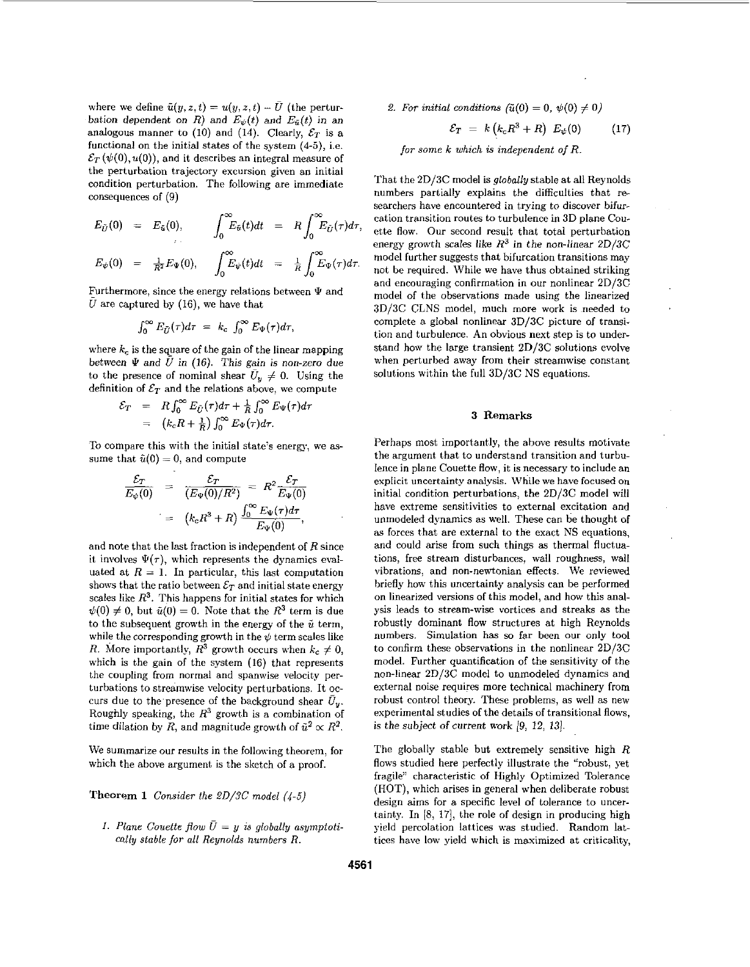where we define  $\tilde{u}(y, z, t) = u(y, z, t) - \bar{U}$  (the perturbation dependent on *R*) and  $E_{\psi}(t)$  and  $E_{\tilde{n}}(t)$  in an analogous manner to (10) and (14). Clearly,  $\mathcal{E}_T$  is a functional on the initial states of the system  $(4-5)$ , i.e.  $\mathcal{E}_T(\psi(0), u(0))$ , and it describes an integral measure of the perturbation trajectory excursion given an initial condition perturbation. The following are immediate consequences of (9)

$$
E_{\tilde{U}}(0) = E_{\tilde{u}}(0), \qquad \int_0^\infty E_{\tilde{u}}(t)dt = R \int_0^\infty E_{\tilde{U}}(\tau) d\tau,
$$
  

$$
E_{\psi}(0) = \frac{1}{R^2} E_{\Psi}(0), \qquad \int_0^\infty E_{\psi}(t)dt = \frac{1}{R} \int_0^\infty E_{\Psi}(\tau) d\tau.
$$

Furthermore, since the energy relations between  $\Psi$  and  $\overline{U}$  are captured by (16), we have that

$$
\int_0^\infty E_{\bar{U}}(\tau)d\tau = k_c \int_0^\infty E_{\Psi}(\tau)d\tau,
$$

where  $k_c$  is the square of the gain of the linear mapping between  $\Psi$  and  $\hat{U}$  in (16). This gain is non-zero due to the presence of nominal shear  $\bar{U}_y \neq 0$ . Using the definition of  $\mathcal{E}_T$  and the relations above, we compute

$$
\mathcal{E}_T = R \int_0^\infty E_{\tilde{U}}(\tau) d\tau + \frac{1}{R} \int_0^\infty E_{\Psi}(\tau) d\tau
$$
  
=  $(k_c R + \frac{1}{R}) \int_0^\infty E_{\Psi}(\tau) d\tau.$ 

To compare this with the initial state's energy, we assume that  $\tilde{u}(0) = 0$ , and compute

$$
\frac{\mathcal{E}_T}{E_{\psi}(0)} = \frac{\mathcal{E}_T}{(E_{\Psi}(0)/R^2)} = R^2 \frac{\mathcal{E}_T}{E_{\Psi}(0)}
$$

$$
= (k_c R^3 + R) \frac{\int_0^\infty E_{\Psi}(\tau) d\tau}{E_{\Psi}(0)},
$$

and note that the last fraction is independent of *R* since it involves  $\Psi(\tau)$ , which represents the dynamics evaluated at  $R = 1$ . In particular, this last computation shows that the ratio between  $\mathcal{E}_T$  and initial state energy scales like  $R<sup>3</sup>$ . This happens for initial states for which  $\psi(0) \neq 0$ , but  $\tilde{u}(0) = 0$ . Note that the  $R^3$  term is due to the subsequent growth in the energy of the  $\tilde{u}$  term, while the corresponding growth in the  $\psi$  term scales like *R.* More importantly,  $R^3$  growth occurs when  $k_c \neq 0$ , which is the gain of the system (16) that represents the coupling from normal and spanwise velocity perturbations to streamwise velocity perturbations. It occurs due to the presence of the background shear  $\bar{U}_v$ . Roughly speaking, the  $R^3$  growth is a combination of time dilation by *R*, and magnitude growth of  $\tilde{u}^2 \propto R^2$ .

We summarize our results in the following theorem, for which the above argument is the sketch of a proof.

Theorem 1 *Consider the 2D/3C model* (4-5)

1. Plane Couette flow  $\bar{U} = y$  is globally asymptoti*cally stable for all Reynolds numbers R.* 

2. For initial conditions  $(\tilde{u}(0) = 0, \psi(0) \neq 0)$ 

$$
\mathcal{E}_T = k \left( k_c R^3 + R \right) E_{\psi}(0) \tag{17}
$$

*for some k which is independent of R.* 

That the 2D /3C model is *globally* stable at all Reynolds numbers partially explains the difficulties that researchers have encountered in trying to discover bifurcation transition routes to turbulence in 3D plane Couette flow. Our second result that total perturbation energy growth scales like  $R^3$  in the non-linear  $2D/3C$ model further suggests that bifurcation transitions may not be required. \Vhile we have thus obtained striking and encouraging confirmation in our nonlinear 2D/3C model of the observations made using the linearized 3D /3C CLNS model, much more work is .needed to complete a global nonlinear 3D/3C picture of transition and turbulence. An obvious next step is to understand how the large transient 2D/3C solutions evolve when perturbed away from their streamwise constant solutions within the full 3D/3C NS equations.

## 3 Remarks

Perhaps most importantly, the above results motivate the argument that to understand transition and turbulence in plane Couette flow, it is necessary to include an explicit uncertainty analysis. \Vhile we have focused on initial condition perturbations, the 2D/3C model will have extreme sensitivities to external excitation and unmodeled dynamics as well. These can be thought of as forces that are external to the exact NS equations, and could arise from such things as thermal fluctuations, free stream disturbances, wall roughness, wall vibrations, and non-newtonian effects. \Ve reviewed briefly how this uncertainty analysis can be performed on linearized versions of this model, and how this analysis leads to stream-wise vortices and streaks as the robustly dominant flow structures at high Reynolds numbers. Simulation has so far been *our* only tool to confirm these observations in the nonlinear 2D/3C model. Further quantification of the sensitivity of the non-linear 2D/3C model to unmodeled dynamics and external noise requires more technical machinery from robust control theory. These problems, as well as new experimental studies of the details of transitional flows, is the subject of current work /9, 12, 13).

The globally stable but extremely sensitive high *R*  flows studied here perfectly illustrate the "robust, yet fragile" characteristic of Highly Optimized Tolerance (HOT), which arises in general when deliberate robust design aims for a specific level of tolerance to uncertainty. In [8, 17], the role of design in producing high yield percolation lattices was studied. Random lattices have low yield which is maximized at criticality,